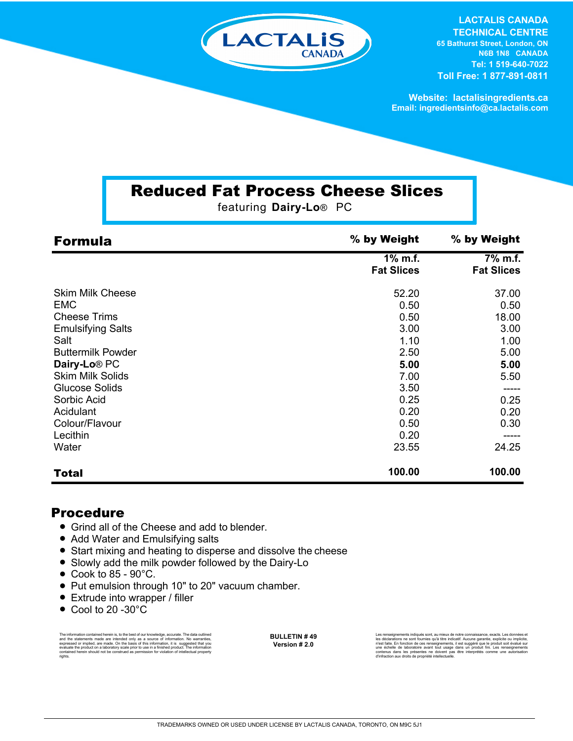

**LACTALIS CANADA TECHNICAL CENTRE 65 Bathurst Street, London, ON N6B 1N8 CANADA Tel: 1 519-640-7022 Toll Free: 1 877-891-0811**

**Website: lactalisingredients.ca Email: ingredientsinfo@ca.lactalis.com**

## Reduced Fat Process Cheese Slices

featuring **Dairy-Lo**® PC

| <b>Formula</b>           | % by Weight                  | % by Weight                  |
|--------------------------|------------------------------|------------------------------|
|                          | 1% m.f.<br><b>Fat Slices</b> | 7% m.f.<br><b>Fat Slices</b> |
| <b>Skim Milk Cheese</b>  | 52.20                        | 37.00                        |
| <b>EMC</b>               | 0.50                         | 0.50                         |
| <b>Cheese Trims</b>      | 0.50                         | 18.00                        |
| <b>Emulsifying Salts</b> | 3.00                         | 3.00                         |
| Salt                     | 1.10                         | 1.00                         |
| <b>Buttermilk Powder</b> | 2.50                         | 5.00                         |
| Dairy-Lo <sup>®</sup> PC | 5.00                         | 5.00                         |
| <b>Skim Milk Solids</b>  | 7.00                         | 5.50                         |
| <b>Glucose Solids</b>    | 3.50                         |                              |
| Sorbic Acid              | 0.25                         | 0.25                         |
| Acidulant                | 0.20                         | 0.20                         |
| Colour/Flavour           | 0.50                         | 0.30                         |
| Lecithin                 | 0.20                         |                              |
| Water                    | 23.55                        | 24.25                        |
| <b>Total</b>             | 100.00                       | 100.00                       |

#### Procedure

- Grind all of the Cheese and add to blender.
- Add Water and Emulsifying salts
- Start mixing and heating to disperse and dissolve the cheese
- Slowly add the milk powder followed by the Dairy-Lo
- $\bullet$  Cook to 85 90 $\degree$ C.
- Put emulsion through 10" to 20" vacuum chamber.
- Extrude into wrapper / filler
- Cool to 20 -30°C

The information contained herein is, to the best of our knowledge, accurate. The data cutlined the statements made are intended only as a source of information. No warranties, expressed or implied, are made. On the basis o

**BULLETIN # 49 Version # 2.0**

Les rensignements indiqués sont, au mieux de notre connaissance, exacts. Les données et<br>les déclarations ne sont fournies qu'à titre indicatif. Aucune garantie, explicite ou implicite,<br>riest faite. En fonction de ces rense